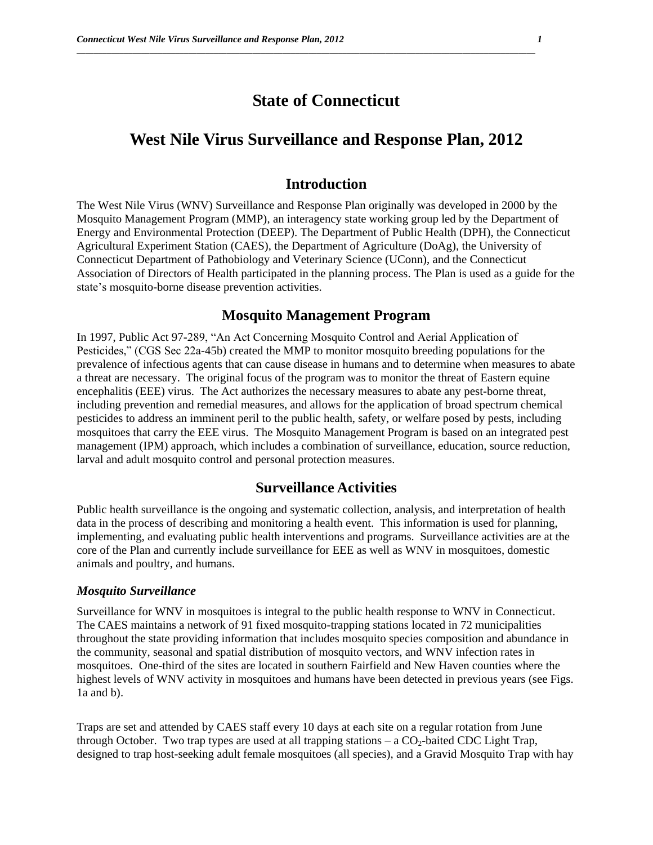# **State of Connecticut**

**\_\_\_\_\_\_\_\_\_\_\_\_\_\_\_\_\_\_\_\_\_\_\_\_\_\_\_\_\_\_\_\_\_\_\_\_\_\_\_\_\_\_\_\_\_\_\_\_\_\_\_\_\_\_\_\_\_\_\_\_\_\_\_\_\_\_\_\_\_\_\_\_\_\_\_\_\_\_\_\_\_\_\_\_\_\_\_\_\_\_\_\_\_\_\_\_\_\_\_\_\_\_\_\_\_\_\_**

# **West Nile Virus Surveillance and Response Plan, 2012**

## **Introduction**

The West Nile Virus (WNV) Surveillance and Response Plan originally was developed in 2000 by the Mosquito Management Program (MMP), an interagency state working group led by the Department of Energy and Environmental Protection (DEEP). The Department of Public Health (DPH), the Connecticut Agricultural Experiment Station (CAES), the Department of Agriculture (DoAg), the University of Connecticut Department of Pathobiology and Veterinary Science (UConn), and the Connecticut Association of Directors of Health participated in the planning process. The Plan is used as a guide for the state's mosquito-borne disease prevention activities.

# **Mosquito Management Program**

In 1997, Public Act 97-289, "An Act Concerning Mosquito Control and Aerial Application of Pesticides," (CGS Sec 22a-45b) created the MMP to monitor mosquito breeding populations for the prevalence of infectious agents that can cause disease in humans and to determine when measures to abate a threat are necessary. The original focus of the program was to monitor the threat of Eastern equine encephalitis (EEE) virus. The Act authorizes the necessary measures to abate any pest-borne threat, including prevention and remedial measures, and allows for the application of broad spectrum chemical pesticides to address an imminent peril to the public health, safety, or welfare posed by pests, including mosquitoes that carry the EEE virus. The Mosquito Management Program is based on an integrated pest management (IPM) approach, which includes a combination of surveillance, education, source reduction, larval and adult mosquito control and personal protection measures.

## **Surveillance Activities**

Public health surveillance is the ongoing and systematic collection, analysis, and interpretation of health data in the process of describing and monitoring a health event. This information is used for planning, implementing, and evaluating public health interventions and programs. Surveillance activities are at the core of the Plan and currently include surveillance for EEE as well as WNV in mosquitoes, domestic animals and poultry, and humans.

#### *Mosquito Surveillance*

Surveillance for WNV in mosquitoes is integral to the public health response to WNV in Connecticut. The CAES maintains a network of 91 fixed mosquito-trapping stations located in 72 municipalities throughout the state providing information that includes mosquito species composition and abundance in the community, seasonal and spatial distribution of mosquito vectors, and WNV infection rates in mosquitoes. One-third of the sites are located in southern Fairfield and New Haven counties where the highest levels of WNV activity in mosquitoes and humans have been detected in previous years (see Figs. 1a and b).

Traps are set and attended by CAES staff every 10 days at each site on a regular rotation from June through October. Two trap types are used at all trapping stations  $-$  a  $CO<sub>2</sub>$ -baited CDC Light Trap, designed to trap host-seeking adult female mosquitoes (all species), and a Gravid Mosquito Trap with hay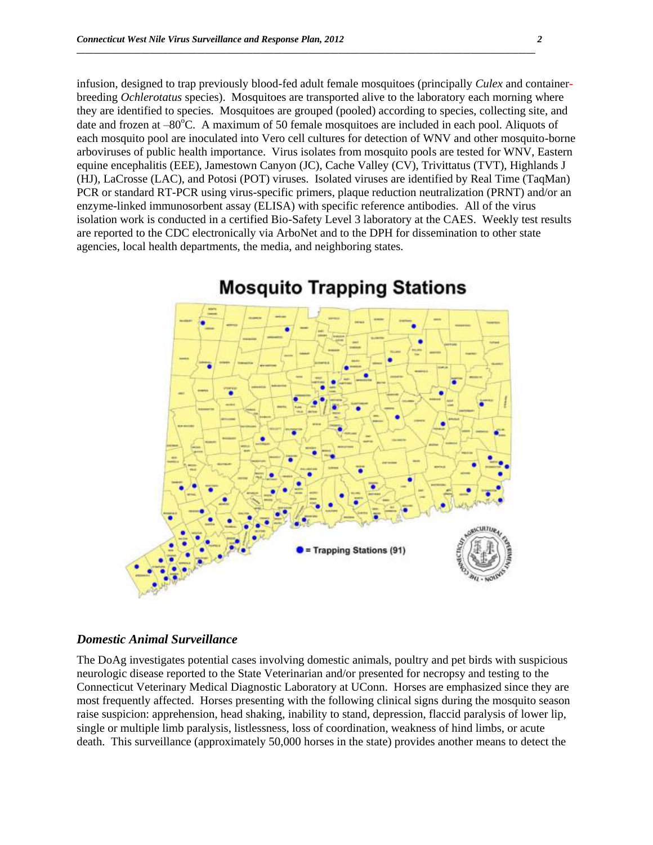infusion, designed to trap previously blood-fed adult female mosquitoes (principally *Culex* and containerbreeding *Ochlerotatus* species). Mosquitoes are transported alive to the laboratory each morning where they are identified to species. Mosquitoes are grouped (pooled) according to species, collecting site, and date and frozen at  $-80^{\circ}$ C. A maximum of 50 female mosquitoes are included in each pool. Aliquots of each mosquito pool are inoculated into Vero cell cultures for detection of WNV and other mosquito-borne arboviruses of public health importance. Virus isolates from mosquito pools are tested for WNV, Eastern equine encephalitis (EEE), Jamestown Canyon (JC), Cache Valley (CV), Trivittatus (TVT), Highlands J (HJ), LaCrosse (LAC), and Potosi (POT) viruses. Isolated viruses are identified by Real Time (TaqMan) PCR or standard RT-PCR using virus-specific primers, plaque reduction neutralization (PRNT) and/or an enzyme-linked immunosorbent assay (ELISA) with specific reference antibodies. All of the virus isolation work is conducted in a certified Bio-Safety Level 3 laboratory at the CAES. Weekly test results are reported to the CDC electronically via ArboNet and to the DPH for dissemination to other state agencies, local health departments, the media, and neighboring states.

**\_\_\_\_\_\_\_\_\_\_\_\_\_\_\_\_\_\_\_\_\_\_\_\_\_\_\_\_\_\_\_\_\_\_\_\_\_\_\_\_\_\_\_\_\_\_\_\_\_\_\_\_\_\_\_\_\_\_\_\_\_\_\_\_\_\_\_\_\_\_\_\_\_\_\_\_\_\_\_\_\_\_\_\_\_\_\_\_\_\_\_\_\_\_\_\_\_\_\_\_\_\_\_\_\_\_\_**



# **Mosquito Trapping Stations**

#### *Domestic Animal Surveillance*

The DoAg investigates potential cases involving domestic animals, poultry and pet birds with suspicious neurologic disease reported to the State Veterinarian and/or presented for necropsy and testing to the Connecticut Veterinary Medical Diagnostic Laboratory at UConn. Horses are emphasized since they are most frequently affected. Horses presenting with the following clinical signs during the mosquito season raise suspicion: apprehension, head shaking, inability to stand, depression, flaccid paralysis of lower lip, single or multiple limb paralysis, listlessness, loss of coordination, weakness of hind limbs, or acute death. This surveillance (approximately 50,000 horses in the state) provides another means to detect the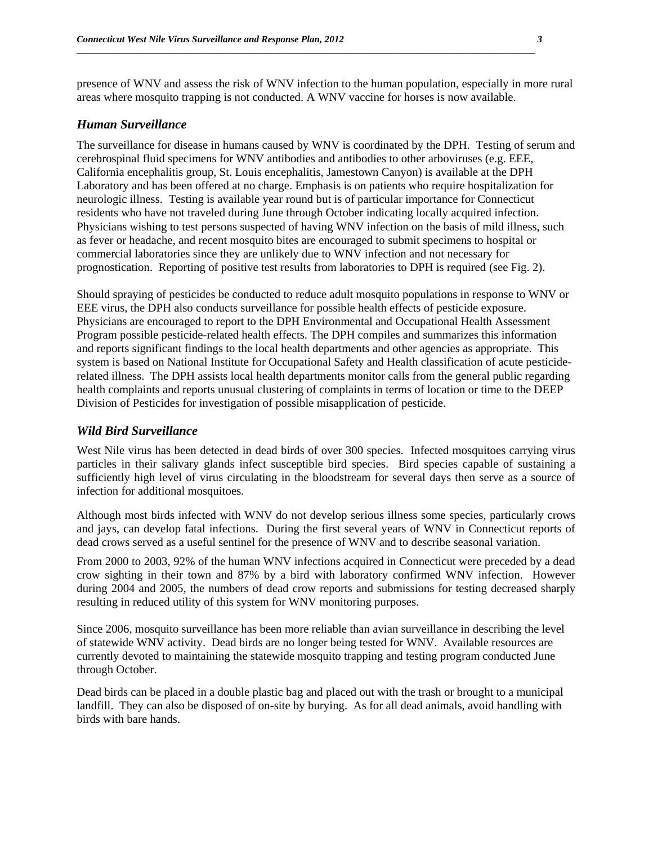presence of WNV and assess the risk of WNV infection to the human population, especially in more rural areas where mosquito trapping is not conducted. A WNV vaccine for horses is now available.

**\_\_\_\_\_\_\_\_\_\_\_\_\_\_\_\_\_\_\_\_\_\_\_\_\_\_\_\_\_\_\_\_\_\_\_\_\_\_\_\_\_\_\_\_\_\_\_\_\_\_\_\_\_\_\_\_\_\_\_\_\_\_\_\_\_\_\_\_\_\_\_\_\_\_\_\_\_\_\_\_\_\_\_\_\_\_\_\_\_\_\_\_\_\_\_\_\_\_\_\_\_\_\_\_\_\_\_**

#### *Human Surveillance*

The surveillance for disease in humans caused by WNV is coordinated by the DPH. Testing of serum and cerebrospinal fluid specimens for WNV antibodies and antibodies to other arboviruses (e.g. EEE, California encephalitis group, St. Louis encephalitis, Jamestown Canyon) is available at the DPH Laboratory and has been offered at no charge. Emphasis is on patients who require hospitalization for neurologic illness. Testing is available year round but is of particular importance for Connecticut residents who have not traveled during June through October indicating locally acquired infection. Physicians wishing to test persons suspected of having WNV infection on the basis of mild illness, such as fever or headache, and recent mosquito bites are encouraged to submit specimens to hospital or commercial laboratories since they are unlikely due to WNV infection and not necessary for prognostication. Reporting of positive test results from laboratories to DPH is required (see Fig. 2).

Should spraying of pesticides be conducted to reduce adult mosquito populations in response to WNV or EEE virus, the DPH also conducts surveillance for possible health effects of pesticide exposure. Physicians are encouraged to report to the DPH Environmental and Occupational Health Assessment Program possible pesticide-related health effects. The DPH compiles and summarizes this information and reports significant findings to the local health departments and other agencies as appropriate. This system is based on National Institute for Occupational Safety and Health classification of acute pesticiderelated illness. The DPH assists local health departments monitor calls from the general public regarding health complaints and reports unusual clustering of complaints in terms of location or time to the DEEP Division of Pesticides for investigation of possible misapplication of pesticide.

#### *Wild Bird Surveillance*

West Nile virus has been detected in dead birds of over 300 species. Infected mosquitoes carrying virus particles in their salivary glands infect susceptible bird species. Bird species capable of sustaining a sufficiently high level of virus circulating in the bloodstream for several days then serve as a source of infection for additional mosquitoes.

Although most birds infected with WNV do not develop serious illness some species, particularly crows and jays, can develop fatal infections. During the first several years of WNV in Connecticut reports of dead crows served as a useful sentinel for the presence of WNV and to describe seasonal variation.

From 2000 to 2003, 92% of the human WNV infections acquired in Connecticut were preceded by a dead crow sighting in their town and 87% by a bird with laboratory confirmed WNV infection. However during 2004 and 2005, the numbers of dead crow reports and submissions for testing decreased sharply resulting in reduced utility of this system for WNV monitoring purposes.

Since 2006, mosquito surveillance has been more reliable than avian surveillance in describing the level of statewide WNV activity. Dead birds are no longer being tested for WNV. Available resources are currently devoted to maintaining the statewide mosquito trapping and testing program conducted June through October.

Dead birds can be placed in a double plastic bag and placed out with the trash or brought to a municipal landfill. They can also be disposed of on-site by burying. As for all dead animals, avoid handling with birds with bare hands.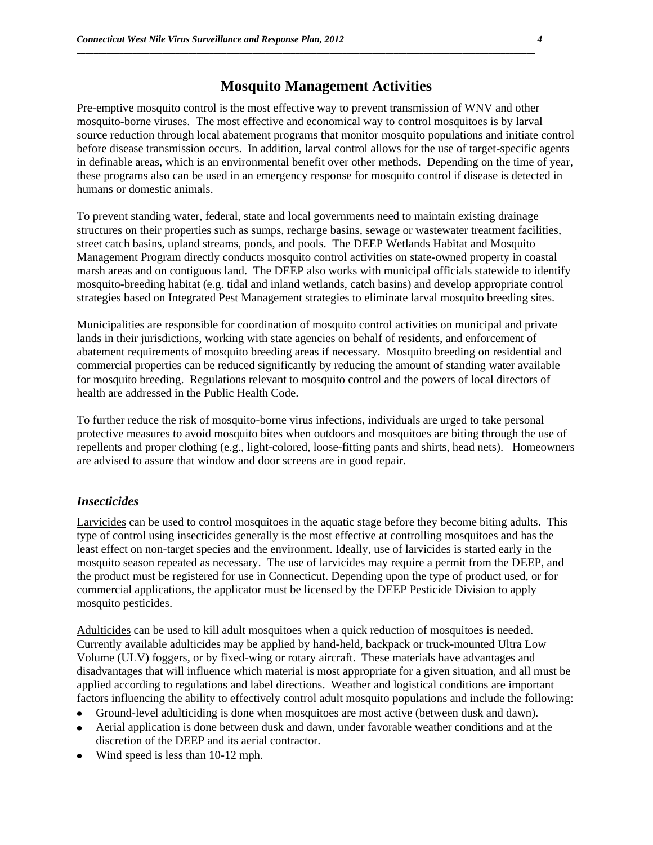## **Mosquito Management Activities**

**\_\_\_\_\_\_\_\_\_\_\_\_\_\_\_\_\_\_\_\_\_\_\_\_\_\_\_\_\_\_\_\_\_\_\_\_\_\_\_\_\_\_\_\_\_\_\_\_\_\_\_\_\_\_\_\_\_\_\_\_\_\_\_\_\_\_\_\_\_\_\_\_\_\_\_\_\_\_\_\_\_\_\_\_\_\_\_\_\_\_\_\_\_\_\_\_\_\_\_\_\_\_\_\_\_\_\_**

Pre-emptive mosquito control is the most effective way to prevent transmission of WNV and other mosquito-borne viruses. The most effective and economical way to control mosquitoes is by larval source reduction through local abatement programs that monitor mosquito populations and initiate control before disease transmission occurs. In addition, larval control allows for the use of target-specific agents in definable areas, which is an environmental benefit over other methods. Depending on the time of year, these programs also can be used in an emergency response for mosquito control if disease is detected in humans or domestic animals.

To prevent standing water, federal, state and local governments need to maintain existing drainage structures on their properties such as sumps, recharge basins, sewage or wastewater treatment facilities, street catch basins, upland streams, ponds, and pools. The DEEP Wetlands Habitat and Mosquito Management Program directly conducts mosquito control activities on state-owned property in coastal marsh areas and on contiguous land. The DEEP also works with municipal officials statewide to identify mosquito-breeding habitat (e.g. tidal and inland wetlands, catch basins) and develop appropriate control strategies based on Integrated Pest Management strategies to eliminate larval mosquito breeding sites.

Municipalities are responsible for coordination of mosquito control activities on municipal and private lands in their jurisdictions, working with state agencies on behalf of residents, and enforcement of abatement requirements of mosquito breeding areas if necessary. Mosquito breeding on residential and commercial properties can be reduced significantly by reducing the amount of standing water available for mosquito breeding. Regulations relevant to mosquito control and the powers of local directors of health are addressed in the Public Health Code.

To further reduce the risk of mosquito-borne virus infections, individuals are urged to take personal protective measures to avoid mosquito bites when outdoors and mosquitoes are biting through the use of repellents and proper clothing (e.g., light-colored, loose-fitting pants and shirts, head nets). Homeowners are advised to assure that window and door screens are in good repair.

### *Insecticides*

Larvicides can be used to control mosquitoes in the aquatic stage before they become biting adults. This type of control using insecticides generally is the most effective at controlling mosquitoes and has the least effect on non-target species and the environment. Ideally, use of larvicides is started early in the mosquito season repeated as necessary. The use of larvicides may require a permit from the DEEP, and the product must be registered for use in Connecticut. Depending upon the type of product used, or for commercial applications, the applicator must be licensed by the DEEP Pesticide Division to apply mosquito pesticides.

Adulticides can be used to kill adult mosquitoes when a quick reduction of mosquitoes is needed. Currently available adulticides may be applied by hand-held, backpack or truck-mounted Ultra Low Volume (ULV) foggers, or by fixed-wing or rotary aircraft. These materials have advantages and disadvantages that will influence which material is most appropriate for a given situation, and all must be applied according to regulations and label directions. Weather and logistical conditions are important factors influencing the ability to effectively control adult mosquito populations and include the following:

- Ground-level adulticiding is done when mosquitoes are most active (between dusk and dawn).  $\bullet$
- Aerial application is done between dusk and dawn, under favorable weather conditions and at the  $\bullet$ discretion of the DEEP and its aerial contractor.
- Wind speed is less than 10-12 mph.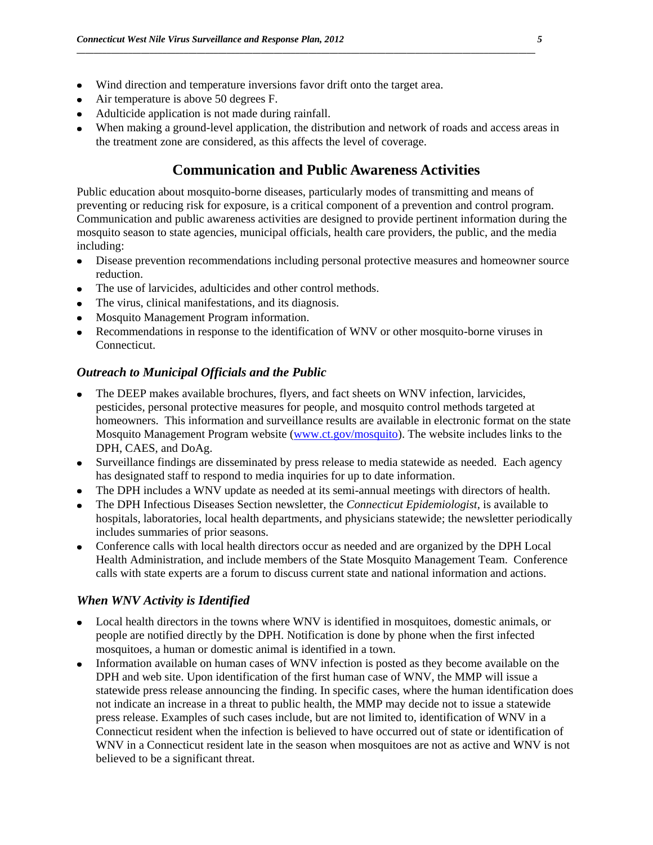- Wind direction and temperature inversions favor drift onto the target area.  $\bullet$
- Air temperature is above 50 degrees F.
- Adulticide application is not made during rainfall.
- When making a ground-level application, the distribution and network of roads and access areas in the treatment zone are considered, as this affects the level of coverage.

## **Communication and Public Awareness Activities**

Public education about mosquito-borne diseases, particularly modes of transmitting and means of preventing or reducing risk for exposure, is a critical component of a prevention and control program. Communication and public awareness activities are designed to provide pertinent information during the mosquito season to state agencies, municipal officials, health care providers, the public, and the media including:

- Disease prevention recommendations including personal protective measures and homeowner source  $\bullet$ reduction.
- The use of larvicides, adulticides and other control methods.
- The virus, clinical manifestations, and its diagnosis.
- Mosquito Management Program information.
- Recommendations in response to the identification of WNV or other mosquito-borne viruses in Connecticut.

### *Outreach to Municipal Officials and the Public*

- The DEEP makes available brochures, flyers, and fact sheets on WNV infection, larvicides, pesticides, personal protective measures for people, and mosquito control methods targeted at homeowners. This information and surveillance results are available in electronic format on the state Mosquito Management Program website [\(www.ct.gov/mosquito\)](http://www.ct.gov/mosquito). The website includes links to the DPH, CAES, and DoAg.
- $\bullet$ Surveillance findings are disseminated by press release to media statewide as needed. Each agency has designated staff to respond to media inquiries for up to date information.
- The DPH includes a WNV update as needed at its semi-annual meetings with directors of health.
- The DPH Infectious Diseases Section newsletter, the *Connecticut Epidemiologist*, is available to hospitals, laboratories, local health departments, and physicians statewide; the newsletter periodically includes summaries of prior seasons.
- Conference calls with local health directors occur as needed and are organized by the DPH Local Health Administration, and include members of the State Mosquito Management Team. Conference calls with state experts are a forum to discuss current state and national information and actions.

### *When WNV Activity is Identified*

- Local health directors in the towns where WNV is identified in mosquitoes, domestic animals, or people are notified directly by the DPH. Notification is done by phone when the first infected mosquitoes, a human or domestic animal is identified in a town.
- Information available on human cases of WNV infection is posted as they become available on the DPH and web site. Upon identification of the first human case of WNV, the MMP will issue a statewide press release announcing the finding. In specific cases, where the human identification does not indicate an increase in a threat to public health, the MMP may decide not to issue a statewide press release. Examples of such cases include, but are not limited to, identification of WNV in a Connecticut resident when the infection is believed to have occurred out of state or identification of WNV in a Connecticut resident late in the season when mosquitoes are not as active and WNV is not believed to be a significant threat.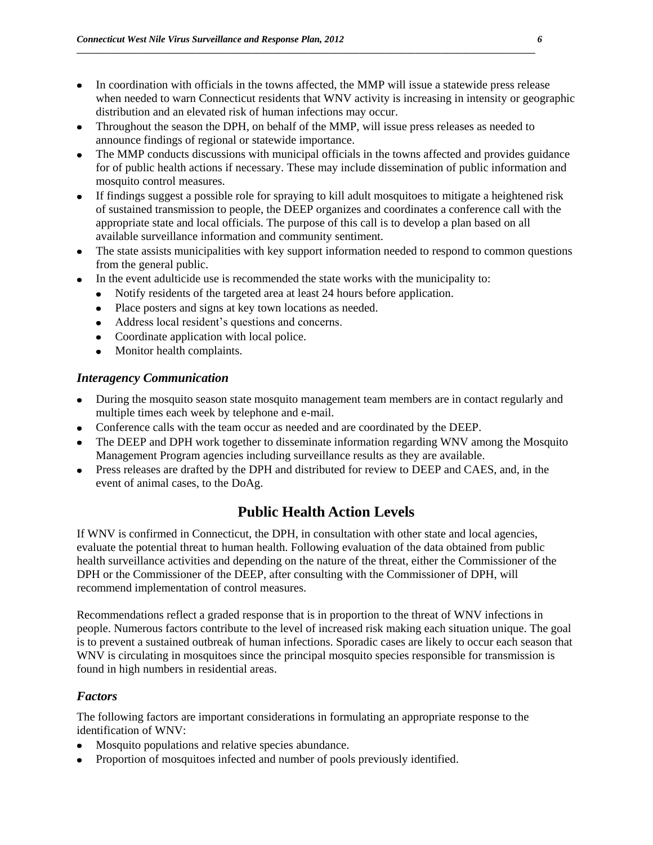- In coordination with officials in the towns affected, the MMP will issue a statewide press release when needed to warn Connecticut residents that WNV activity is increasing in intensity or geographic distribution and an elevated risk of human infections may occur.
- Throughout the season the DPH, on behalf of the MMP, will issue press releases as needed to announce findings of regional or statewide importance.

- The MMP conducts discussions with municipal officials in the towns affected and provides guidance for of public health actions if necessary. These may include dissemination of public information and mosquito control measures.
- $\bullet$ If findings suggest a possible role for spraying to kill adult mosquitoes to mitigate a heightened risk of sustained transmission to people, the DEEP organizes and coordinates a conference call with the appropriate state and local officials. The purpose of this call is to develop a plan based on all available surveillance information and community sentiment.
- The state assists municipalities with key support information needed to respond to common questions  $\bullet$ from the general public.
- In the event adulticide use is recommended the state works with the municipality to:
	- Notify residents of the targeted area at least 24 hours before application.
		- Place posters and signs at key town locations as needed.
		- Address local resident's questions and concerns.
		- Coordinate application with local police.
		- Monitor health complaints.

### *Interagency Communication*

- During the mosquito season state mosquito management team members are in contact regularly and multiple times each week by telephone and e-mail.
- Conference calls with the team occur as needed and are coordinated by the DEEP.
- The DEEP and DPH work together to disseminate information regarding WNV among the Mosquito Management Program agencies including surveillance results as they are available.
- Press releases are drafted by the DPH and distributed for review to DEEP and CAES, and, in the event of animal cases, to the DoAg.

# **Public Health Action Levels**

If WNV is confirmed in Connecticut, the DPH, in consultation with other state and local agencies, evaluate the potential threat to human health. Following evaluation of the data obtained from public health surveillance activities and depending on the nature of the threat, either the Commissioner of the DPH or the Commissioner of the DEEP, after consulting with the Commissioner of DPH, will recommend implementation of control measures.

Recommendations reflect a graded response that is in proportion to the threat of WNV infections in people. Numerous factors contribute to the level of increased risk making each situation unique. The goal is to prevent a sustained outbreak of human infections. Sporadic cases are likely to occur each season that WNV is circulating in mosquitoes since the principal mosquito species responsible for transmission is found in high numbers in residential areas.

## *Factors*

The following factors are important considerations in formulating an appropriate response to the identification of WNV:

- Mosquito populations and relative species abundance.  $\bullet$
- Proportion of mosquitoes infected and number of pools previously identified. $\bullet$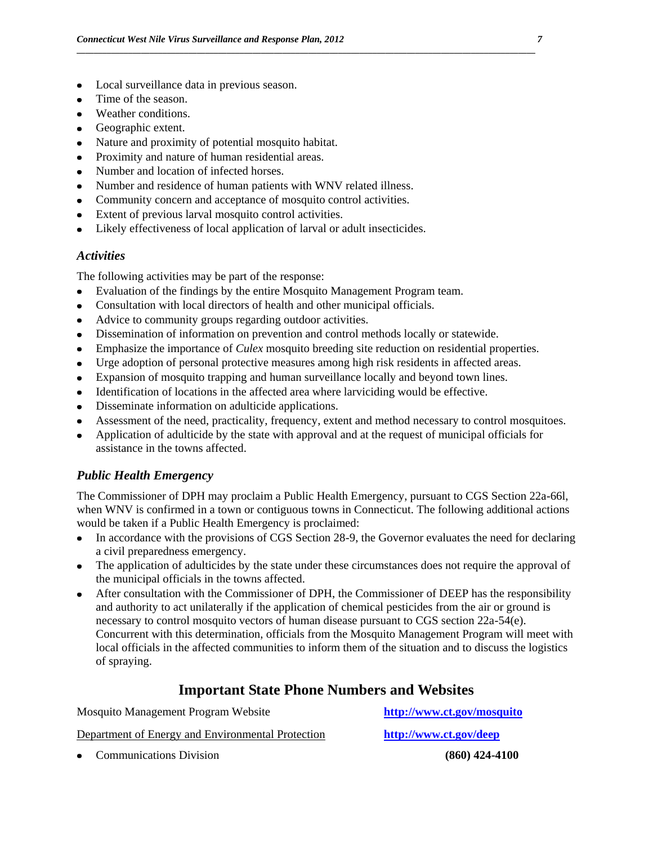- Local surveillance data in previous season.  $\bullet$
- Time of the season.
- Weather conditions.  $\bullet$
- Geographic extent.
- Nature and proximity of potential mosquito habitat.  $\bullet$
- Proximity and nature of human residential areas.
- Number and location of infected horses.
- Number and residence of human patients with WNV related illness.
- Community concern and acceptance of mosquito control activities.
- Extent of previous larval mosquito control activities.  $\bullet$
- Likely effectiveness of local application of larval or adult insecticides.

#### *Activities*

The following activities may be part of the response:

- Evaluation of the findings by the entire Mosquito Management Program team.  $\bullet$
- Consultation with local directors of health and other municipal officials.  $\bullet$
- Advice to community groups regarding outdoor activities.  $\bullet$
- Dissemination of information on prevention and control methods locally or statewide.  $\bullet$
- Emphasize the importance of *Culex* mosquito breeding site reduction on residential properties.

**\_\_\_\_\_\_\_\_\_\_\_\_\_\_\_\_\_\_\_\_\_\_\_\_\_\_\_\_\_\_\_\_\_\_\_\_\_\_\_\_\_\_\_\_\_\_\_\_\_\_\_\_\_\_\_\_\_\_\_\_\_\_\_\_\_\_\_\_\_\_\_\_\_\_\_\_\_\_\_\_\_\_\_\_\_\_\_\_\_\_\_\_\_\_\_\_\_\_\_\_\_\_\_\_\_\_\_**

- Urge adoption of personal protective measures among high risk residents in affected areas.
- Expansion of mosquito trapping and human surveillance locally and beyond town lines.  $\bullet$
- Identification of locations in the affected area where larviciding would be effective.  $\bullet$
- Disseminate information on adulticide applications.  $\bullet$
- Assessment of the need, practicality, frequency, extent and method necessary to control mosquitoes.
- Application of adulticide by the state with approval and at the request of municipal officials for  $\bullet$ assistance in the towns affected.

## *Public Health Emergency*

The Commissioner of DPH may proclaim a Public Health Emergency, pursuant to CGS Section 22a-66l, when WNV is confirmed in a town or contiguous towns in Connecticut. The following additional actions would be taken if a Public Health Emergency is proclaimed:

- In accordance with the provisions of CGS Section 28-9, the Governor evaluates the need for declaring a civil preparedness emergency.
- The application of adulticides by the state under these circumstances does not require the approval of the municipal officials in the towns affected.
- After consultation with the Commissioner of DPH, the Commissioner of DEEP has the responsibility and authority to act unilaterally if the application of chemical pesticides from the air or ground is necessary to control mosquito vectors of human disease pursuant to CGS section 22a-54(e). Concurrent with this determination, officials from the Mosquito Management Program will meet with local officials in the affected communities to inform them of the situation and to discuss the logistics of spraying.

## **Important State Phone Numbers and Websites**

Mosquito Management Program Website **<http://www.ct.gov/mosquito>**

Department of Energy and Environmental Protection **<http://www.ct.gov/deep>**

Communications Division **(860) 424-4100**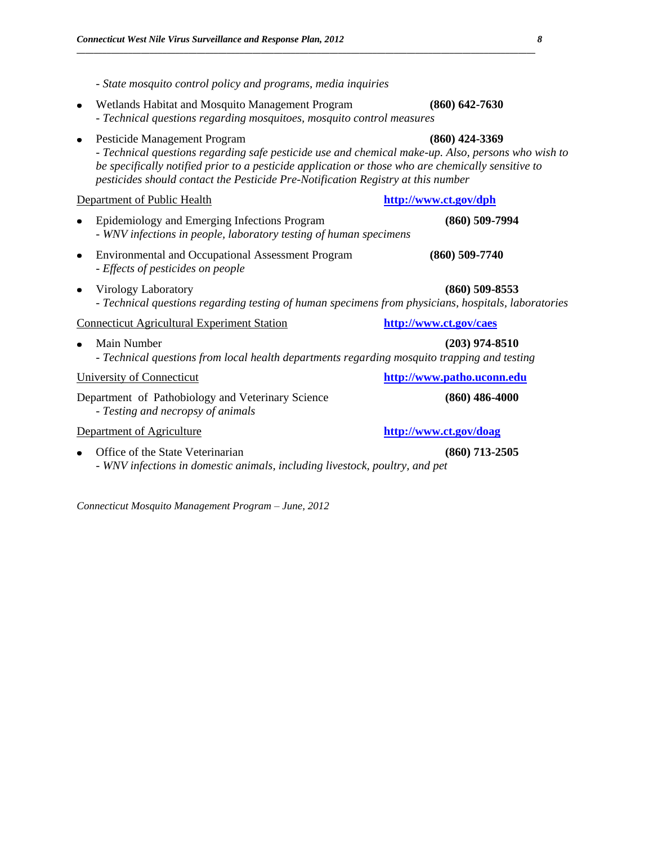*- State mosquito control policy and programs, media inquiries* 

Wetlands Habitat and Mosquito Management Program **(860) 642-7630** *- Technical questions regarding mosquitoes, mosquito control measures* Pesticide Management Program **(860) 424-3369** *- Technical questions regarding safe pesticide use and chemical make-up. Also, persons who wish to be specifically notified prior to a pesticide application or those who are chemically sensitive to pesticides should contact the Pesticide Pre-Notification Registry at this number* Department of Public Health **<http://www.ct.gov/dph>** Epidemiology and Emerging Infections Program **(860) 509-7994** *- WNV infections in people, laboratory testing of human specimens*  Environmental and Occupational Assessment Program **(860) 509-7740** *- Effects of pesticides on people* Virology Laboratory **(860) 509-8553** *- Technical questions regarding testing of human specimens from physicians, hospitals, laboratories* Connecticut Agricultural Experiment Station **<http://www.ct.gov/caes>** Main Number **(203) 974-8510** - *Technical questions from local health departments regarding mosquito trapping and testing*  University of Connecticut **[http://www.patho.uconn.edu](http://www.patho.uconn.edu/)** Department of Pathobiology and Veterinary Science **(860) 486-4000** - *Testing and necropsy of animals* Department of Agriculture **<http://www.ct.gov/doag>** Office of the State Veterinarian **(860)** 713-2505 *- WNV infections in domestic animals, including livestock, poultry, and pet*

**\_\_\_\_\_\_\_\_\_\_\_\_\_\_\_\_\_\_\_\_\_\_\_\_\_\_\_\_\_\_\_\_\_\_\_\_\_\_\_\_\_\_\_\_\_\_\_\_\_\_\_\_\_\_\_\_\_\_\_\_\_\_\_\_\_\_\_\_\_\_\_\_\_\_\_\_\_\_\_\_\_\_\_\_\_\_\_\_\_\_\_\_\_\_\_\_\_\_\_\_\_\_\_\_\_\_\_**

*Connecticut Mosquito Management Program – June, 2012*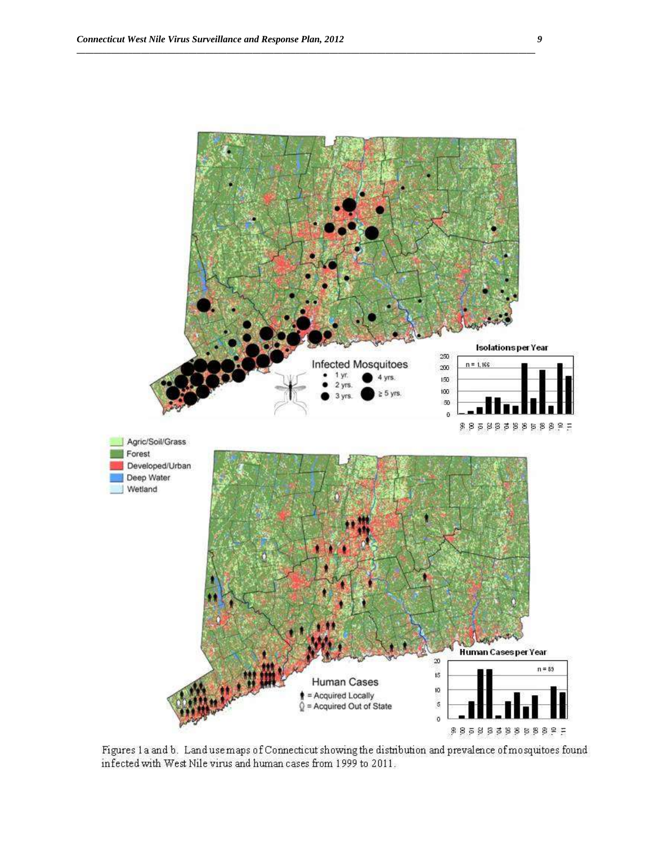

Figures 1a and b. Land use maps of Connecticut showing the distribution and prevalence of mosquitoes found infected with West Nile virus and human cases from 1999 to 2011.